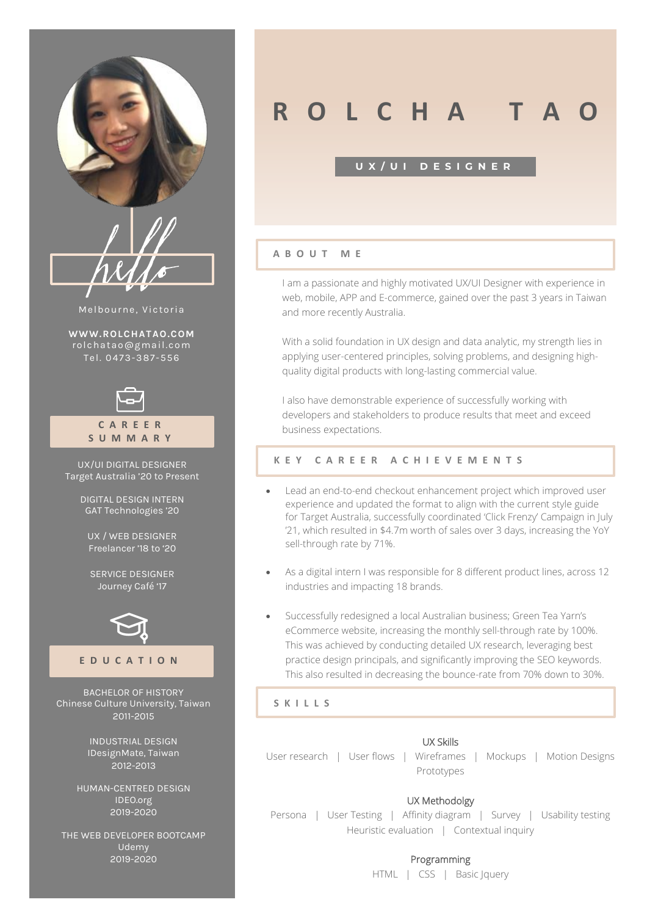

| E<br>Z e<br>И.<br>ν |  |
|---------------------|--|
| $\overline{v}$      |  |

Melbourne, Victoria

**[WWW.ROLCHATAO.COM](http://www.rolchatao.com/)** rolc hatao@gmail .co m Tel. 04 73-387 -556



**C A R E E R S U M M A R Y**

UX/UI DIGITAL DESIGNER Target Australia '20 to Present

> DIGITAL DESIGN INTERN GAT Technologies '20

UX / WEB DESIGNER Freelancer '18 to '20

SERVICE DESIGNER Journey Café '17



#### **E D U C A T I O N**

BACHELOR OF HISTORY Chinese Culture University, Taiwan 2011-2015

> INDUSTRIAL DESIGN IDesignMate, Taiwan 2012-2013

HUMAN-CENTRED DESIGN IDEO.org 2019-2020

THE WEB DEVELOPER BOOTCAMP **Udemy** 2019-2020

# *R* **R C H A**

#### **U X / U I D E S I G N E R**

#### **A B O U T M E**

I am a passionate and highly motivated UX/UI Designer with experience in web, mobile, APP and E-commerce, gained over the past 3 years in Taiwan and more recently Australia.

With a solid foundation in UX design and data analytic, my strength lies in applying user-centered principles, solving problems, and designing highquality digital products with long-lasting commercial value.

I also have demonstrable experience of successfully working with developers and stakeholders to produce results that meet and exceed business expectations.

#### **K E Y C A R E E R A C H I E V E M E N T S**

- Lead an end-to-end checkout enhancement project which improved user experience and updated the format to align with the current style guide for Target Australia, successfully coordinated 'Click Frenzy' Campaign in July '21, which resulted in \$4.7m worth of sales over 3 days, increasing the YoY sell-through rate by 71%.
- As a digital intern I was responsible for 8 different product lines, across 12 industries and impacting 18 brands.
- Successfully redesigned a local Australian business; Green Tea Yarn's eCommerce website, increasing the monthly sell-through rate by 100%. This was achieved by conducting detailed UX research, leveraging best practice design principals, and significantly improving the SEO keywords. This also resulted in decreasing the bounce-rate from 70% down to 30%.

**S K I L L S**

#### UX Skills

User research | User flows | Wireframes | Mockups | Motion Designs Prototypes

#### UX Methodolgy

Persona | User Testing | Affinity diagram | Survey | Usability testing Heuristic evaluation | Contextual inquiry

#### Programming

HTML | CSS | Basic Jquery